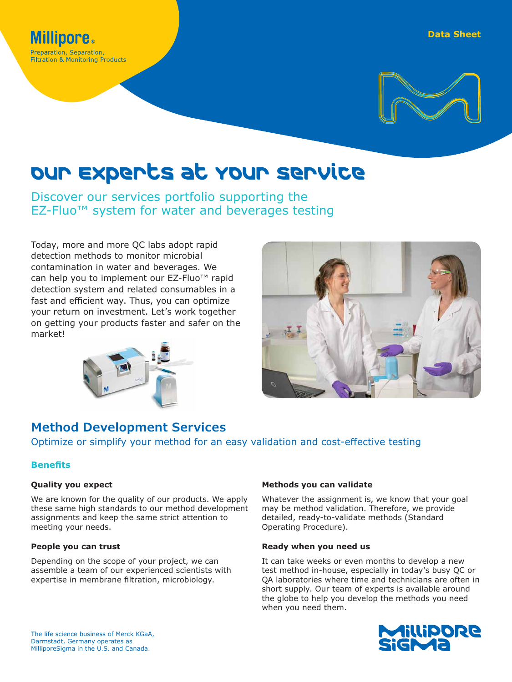

# Our Experts at Your Service

Discover our services portfolio supporting the EZ-Fluo™ system for water and beverages testing

Today, more and more QC labs adopt rapid detection methods to monitor microbial contamination in water and beverages. We can help you to implement our EZ-Fluo™ rapid detection system and related consumables in a fast and efficient way. Thus, you can optimize your return on investment. Let's work together on getting your products faster and safer on the market!





# **Method Development Services**

Optimize or simplify your method for an easy validation and cost-effective testing

# **Benefits**

### **Quality you expect**

We are known for the quality of our products. We apply these same high standards to our method development assignments and keep the same strict attention to meeting your needs.

### **People you can trust**

Depending on the scope of your project, we can assemble a team of our experienced scientists with expertise in membrane filtration, microbiology.

### **Methods you can validate**

Whatever the assignment is, we know that your goal may be method validation. Therefore, we provide detailed, ready-to-validate methods (Standard Operating Procedure).

### **Ready when you need us**

It can take weeks or even months to develop a new test method in-house, especially in today's busy QC or QA laboratories where time and technicians are often in short supply. Our team of experts is available around the globe to help you develop the methods you need when you need them.

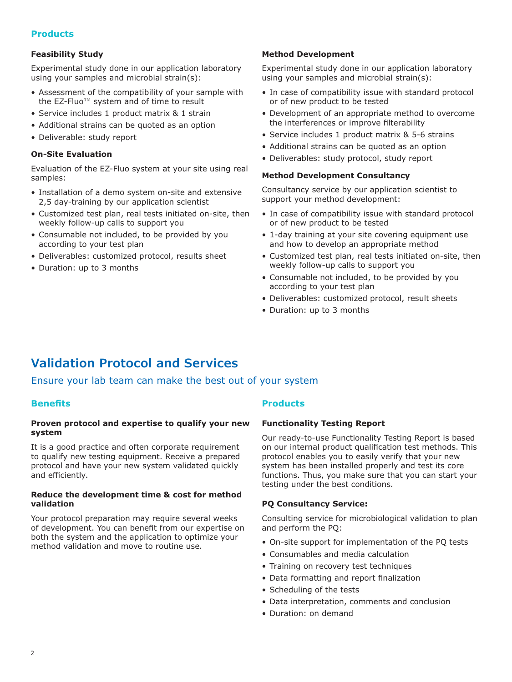### **Products**

### **Feasibility Study**

Experimental study done in our application laboratory using your samples and microbial strain(s):

- Assessment of the compatibility of your sample with the EZ-Fluo™ system and of time to result
- Service includes 1 product matrix & 1 strain
- Additional strains can be quoted as an option
- Deliverable: study report

### **On-Site Evaluation**

Evaluation of the EZ-Fluo system at your site using real samples:

- Installation of a demo system on-site and extensive 2,5 day-training by our application scientist
- Customized test plan, real tests initiated on-site, then weekly follow-up calls to support you
- Consumable not included, to be provided by you according to your test plan
- Deliverables: customized protocol, results sheet
- Duration: up to 3 months

### **Method Development**

Experimental study done in our application laboratory using your samples and microbial strain(s):

- In case of compatibility issue with standard protocol or of new product to be tested
- Development of an appropriate method to overcome the interferences or improve filterability
- Service includes 1 product matrix & 5-6 strains
- Additional strains can be quoted as an option
- Deliverables: study protocol, study report

### **Method Development Consultancy**

Consultancy service by our application scientist to support your method development:

- In case of compatibility issue with standard protocol or of new product to be tested
- 1-day training at your site covering equipment use and how to develop an appropriate method
- Customized test plan, real tests initiated on-site, then weekly follow-up calls to support you
- Consumable not included, to be provided by you according to your test plan
- Deliverables: customized protocol, result sheets
- Duration: up to 3 months

# **Validation Protocol and Services**

Ensure your lab team can make the best out of your system

### **Benefits**

### **Proven protocol and expertise to qualify your new system**

It is a good practice and often corporate requirement to qualify new testing equipment. Receive a prepared protocol and have your new system validated quickly and efficiently.

### **Reduce the development time & cost for method validation**

Your protocol preparation may require several weeks of development. You can benefit from our expertise on both the system and the application to optimize your method validation and move to routine use.

### **Products**

#### **Functionality Testing Report**

Our ready-to-use Functionality Testing Report is based on our internal product qualification test methods. This protocol enables you to easily verify that your new system has been installed properly and test its core functions. Thus, you make sure that you can start your testing under the best conditions.

### **PQ Consultancy Service:**

Consulting service for microbiological validation to plan and perform the PQ:

- On-site support for implementation of the PQ tests
- Consumables and media calculation
- Training on recovery test techniques
- Data formatting and report finalization
- Scheduling of the tests
- Data interpretation, comments and conclusion
- Duration: on demand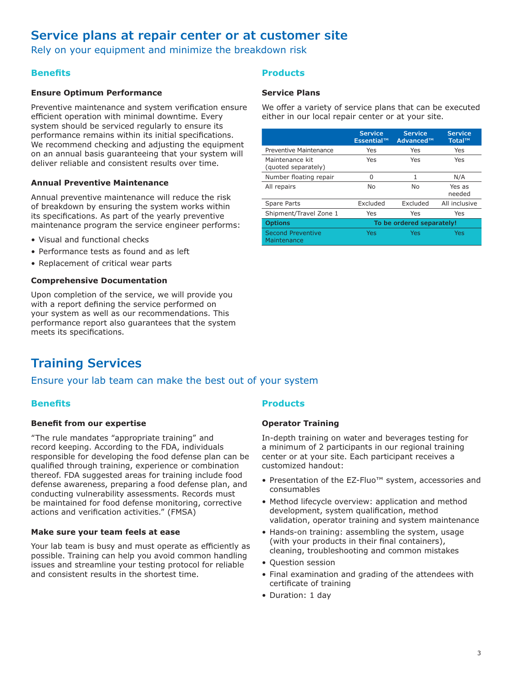# **Service plans at repair center or at customer site**

Rely on your equipment and minimize the breakdown risk

# **Benefits**

### **Ensure Optimum Performance**

Preventive maintenance and system verification ensure efficient operation with minimal downtime. Every system should be serviced regularly to ensure its performance remains within its initial specifications. We recommend checking and adjusting the equipment on an annual basis guaranteeing that your system will deliver reliable and consistent results over time.

### **Annual Preventive Maintenance**

Annual preventive maintenance will reduce the risk of breakdown by ensuring the system works within its specifications. As part of the yearly preventive maintenance program the service engineer performs:

- Visual and functional checks
- Performance tests as found and as left
- Replacement of critical wear parts

### **Comprehensive Documentation**

Upon completion of the service, we will provide you with a report defining the service performed on your system as well as our recommendations. This performance report also guarantees that the system meets its specifications.

# **Training Services**

### Ensure your lab team can make the best out of your system

### **Benefits**

### **Benefit from our expertise**

"The rule mandates "appropriate training" and record keeping. According to the FDA, individuals responsible for developing the food defense plan can be qualified through training, experience or combination thereof. FDA suggested areas for training include food defense awareness, preparing a food defense plan, and conducting vulnerability assessments. Records must be maintained for food defense monitoring, corrective actions and verification activities." (FMSA)

### **Make sure your team feels at ease**

Your lab team is busy and must operate as efficiently as possible. Training can help you avoid common handling issues and streamline your testing protocol for reliable and consistent results in the shortest time.

## **Products**

### **Service Plans**

We offer a variety of service plans that can be executed either in our local repair center or at your site.

|                                         | <b>Service</b><br>Essential™ | <b>Service</b><br>Advanced™ | <b>Service</b><br>Total™ |
|-----------------------------------------|------------------------------|-----------------------------|--------------------------|
| Preventive Maintenance                  | Yes                          | Yes                         | Yes                      |
| Maintenance kit<br>(guoted separately)  | Yes                          | Yes                         | Yes                      |
| Number floating repair                  | O                            | 1                           | N/A                      |
| All repairs                             | No                           | No                          | Yes as<br>needed         |
| Spare Parts                             | Excluded                     | Excluded                    | All inclusive            |
| Shipment/Travel Zone 1                  | Yes                          | Yes                         | Yes                      |
| <b>Options</b>                          | To be ordered separately!    |                             |                          |
| <b>Second Preventive</b><br>Maintenance | Yes                          | Yes                         | Yes                      |

### **Products**

### **Operator Training**

In-depth training on water and beverages testing for a minimum of 2 participants in our regional training center or at your site. Each participant receives a customized handout:

- Presentation of the EZ-Fluo™ system, accessories and consumables
- Method lifecycle overview: application and method development, system qualification, method validation, operator training and system maintenance
- Hands-on training: assembling the system, usage (with your products in their final containers), cleaning, troubleshooting and common mistakes
- Question session
- Final examination and grading of the attendees with certificate of training
- Duration: 1 day